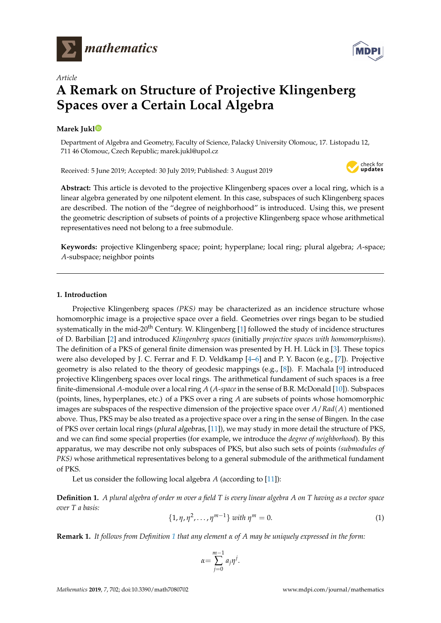



# *Article* **A Remark on Structure of Projective Klingenberg Spaces over a Certain Local Algebra**

## **Marek Juk[l](https://orcid.org/0000-0002-5331-9192)**

Department of Algebra and Geometry, Faculty of Science, Palacký University Olomouc, 17. Listopadu 12, 711 46 Olomouc, Czech Republic; marek.jukl@upol.cz

Received: 5 June 2019; Accepted: 30 July 2019; Published: 3 August 2019



**Abstract:** This article is devoted to the projective Klingenberg spaces over a local ring, which is a linear algebra generated by one nilpotent element. In this case, subspaces of such Klingenberg spaces are described. The notion of the "degree of neighborhood" is introduced. Using this, we present the geometric description of subsets of points of a projective Klingenberg space whose arithmetical representatives need not belong to a free submodule.

**Keywords:** projective Klingenberg space; point; hyperplane; local ring; plural algebra; *A*-space; *A*-subspace; neighbor points

### **1. Introduction**

Projective Klingenberg spaces *(PKS)* may be characterized as an incidence structure whose homomorphic image is a projective space over a field. Geometries over rings began to be studied systematically in the mid-20<sup>th</sup> Century. W. Klingenberg  $[1]$  followed the study of incidence structures of D. Barbilian [\[2\]](#page-7-1) and introduced *Klingenberg spaces* (initially *projective spaces with homomorphisms*). The definition of a PKS of general finite dimension was presented by H. H. Lück in [\[3\]](#page-7-2). These topics were also developed by J. C. Ferrar and F. D. Veldkamp [\[4–](#page-7-3)[6\]](#page-7-4) and P. Y. Bacon (e.g., [\[7\]](#page-7-5)). Projective geometry is also related to the theory of geodesic mappings (e.g., [\[8\]](#page-7-6)). F. Machala [\[9\]](#page-7-7) introduced projective Klingenberg spaces over local rings. The arithmetical fundament of such spaces is a free finite-dimensional *A*-module over a local ring *A* (*A-space*in the sense of B.R. McDonald [\[10\]](#page-7-8)). Subspaces (points, lines, hyperplanes, etc.) of a PKS over a ring *A* are subsets of points whose homomorphic images are subspaces of the respective dimension of the projective space over *A*/*Rad*(*A*) mentioned above. Thus, PKS may be also treated as a projective space over a ring in the sense of Bingen. In the case of PKS over certain local rings (plural algebras, [\[11\]](#page-7-9)), we may study in more detail the structure of PKS, and we can find some special properties (for example, we introduce the *degree of neighborhood*). By this apparatus, we may describe not only subspaces of PKS, but also such sets of points *(submodules of PKS)* whose arithmetical representatives belong to a general submodule of the arithmetical fundament of PKS.

Let us consider the following local algebra *A* (according to [\[11\]](#page-7-9)):

<span id="page-0-0"></span>**Definition 1.** *A plural algebra of order m over a field T is every linear algebra A on T having as a vector space over T a basis:*

<span id="page-0-1"></span>
$$
\{1, \eta, \eta^2, \dots, \eta^{m-1}\} \text{ with } \eta^m = 0. \tag{1}
$$

**Remark 1.** *It follows from Definition [1](#page-0-0) that any element α of A may be uniquely expressed in the form:*

$$
\alpha = \sum_{j=0}^{m-1} a_j \eta^j.
$$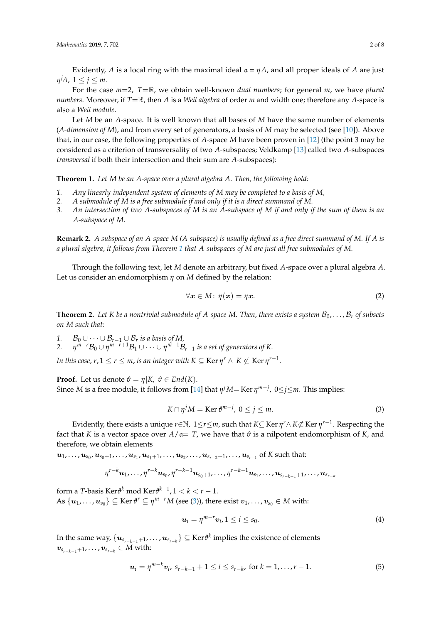Evidently, *A* is a local ring with the maximal ideal  $a = \eta A$ , and all proper ideals of *A* are just *η <sup>j</sup>A*, 1 ≤ *j* ≤ *m*.

For the case *m*=2, *T*=R, we obtain well-known *dual numbers*; for general *m*, we have *plural numbers*. Moreover, if *T*=R, then *A* is a *Weil algebra* of order *m* and width one; therefore any *A*-space is also a *Weil module*.

Let *M* be an *A*-space. It is well known that all bases of *M* have the same number of elements (*A-dimension of M*), and from every set of generators, a basis of *M* may be selected (see [\[10\]](#page-7-8)). Above that, in our case, the following properties of *A*-space *M* have been proven in [\[12\]](#page-7-10) (the point 3 may be considered as a criterion of transversality of two *A*-subspaces; Veldkamp [\[13\]](#page-7-11) called two *A*-subspaces *transversal* if both their intersection and their sum are *A*-subspaces):

<span id="page-1-0"></span>**Theorem 1.** *Let M be an A-space over a plural algebra A. Then, the following hold:*

- *1. Any linearly-independent system of elements of M may be completed to a basis of M,*
- *2. A submodule of M is a free submodule if and only if it is a direct summand of M.*
- *3. An intersection of two A-subspaces of M is an A-subspace of M if and only if the sum of them is an A-subspace of M.*

**Remark 2.** *A subspace of an A-space M (A-subspace) is usually defined as a free direct summand of M. If A is a plural algebra, it follows from Theorem [1](#page-1-0) that A-subspaces of M are just all free submodules of M.*

Through the following text, let *M* denote an arbitrary, but fixed *A*-space over a plural algebra *A*. Let us consider an endomorphism *η* on *M* defined by the relation:

$$
\forall \boldsymbol{x} \in M \colon \eta(\boldsymbol{x}) = \eta \boldsymbol{x}.\tag{2}
$$

<span id="page-1-4"></span>**Theorem 2.** Let K be a nontrivial submodule of A-space M. Then, there exists a system  $B_0, \ldots, B_r$  of subsets *on M such that:*

1.  $\mathcal{B}_0 \cup \cdots \cup \mathcal{B}_{r-1} \cup \mathcal{B}_r$  *is a basis of M*,

*2. η <sup>m</sup>*−*r*B<sup>0</sup> ∪ *η <sup>m</sup>*−*r*+1B<sup>1</sup> ∪ · · · ∪ *η <sup>m</sup>*−1B*r*−<sup>1</sup> *is a set of generators of K.*

*In this case, r,*  $1 \leq r \leq m$ , *is an integer with K*  $\subseteq$  Ker  $\eta^r \wedge \ K \not\subset$  Ker  $\eta^{r-1}$ .

**Proof.** Let us denote  $\vartheta = \eta | K, \vartheta \in End(K)$ . Since *M* is a free module, it follows from [\[14\]](#page-7-12) that *η <sup>j</sup>M*= Ker *η m*−*j* , 0≤*j*≤*m*. This implies:

<span id="page-1-1"></span>
$$
K \cap \eta^j M = \text{Ker } \vartheta^{m-j}, \ 0 \le j \le m. \tag{3}
$$

Evidently, there exists a unique *r*∈N, 1≤*r*≤*m*, such that *K*⊆ Ker *η <sup>r</sup>*∧ *K*6⊂ Ker *η r*−1 . Respecting the fact that *K* is a vector space over  $A/\mathfrak{a} = T$ , we have that  $\vartheta$  is a nilpotent endomorphism of *K*, and therefore, we obtain elements

 $u_1,\ldots,u_{s_0},u_{s_0+1},\ldots,u_{s_1},u_{s_1+1},\ldots,u_{s_2},\ldots,u_{s_{r-2}+1},\ldots,u_{s_{r-1}} \ \text{of $K$ such that:}$ 

$$
\eta^{r-k}\bm{u}_1,\ldots,\eta^{r-k}\bm{u}_{s_0},\eta^{r-k-1}\bm{u}_{s_0+1},\ldots,\eta^{r-k-1}\bm{u}_{s_1},\ldots,\bm{u}_{s_{r-k-1}+1},\ldots,\bm{u}_{s_{r-k}}
$$

form a *T*-basis Ker $\vartheta^k$  mod Ker $\vartheta^{k-1}$ ,  $1 < k < r-1$ . As  $\{u_1, \ldots, u_{s_0}\} \subseteq \text{Ker } \theta^r \subseteq \eta^{m-r}M$  (see [\(3\)](#page-1-1)), there exist  $v_1, \ldots, v_{s_0} \in M$  with:

<span id="page-1-2"></span>
$$
\boldsymbol{u}_i = \eta^{m-r} \boldsymbol{v}_i, 1 \leq i \leq s_0. \tag{4}
$$

In the same way,  $\{\bm u_{s_{r-k-1}+1}, \dots, \bm u_{s_{r-k}}\} \subseteq \mathrm{Ker} \vartheta^k$  implies the existence of elements  $v_{s_{r-k-1}+1}, \ldots, v_{s_{r-k}} \in M$  with:

<span id="page-1-3"></span>
$$
\mathbf{u}_i = \eta^{m-k} \mathbf{v}_i, \ s_{r-k-1} + 1 \leq i \leq s_{r-k}, \text{ for } k = 1, \dots, r-1. \tag{5}
$$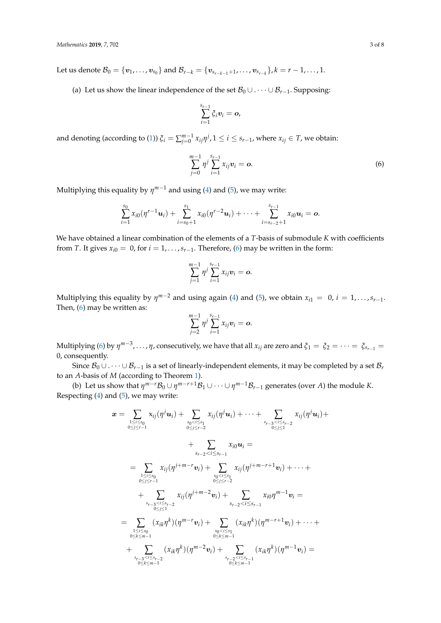Let us denote  $\mathcal{B}_0 = \{\boldsymbol{v}_1,\dots,\boldsymbol{v}_{s_0}\}$  and  $\mathcal{B}_{r-k} = \{\boldsymbol{v}_{s_{r-k-1}+1},\dots,\boldsymbol{v}_{s_{r-k}}\}, k = r-1,\dots,1.$ 

(a) Let us show the linear independence of the set  $\mathcal{B}_0 \cup \cdots \cup \mathcal{B}_{r-1}$ . Supposing:

$$
\sum_{i=1}^{s_{r-1}} \xi_i \mathbf{v}_i = \mathbf{o},
$$

and denoting (according to [\(1\)](#page-0-1))  $\xi_i = \sum_{j=0}^{m-1} x_{ij} \eta^j$ ,  $1 \le i \le s_{r-1}$ , where  $x_{ij} \in T$ , we obtain:

<span id="page-2-0"></span>
$$
\sum_{j=0}^{m-1} \eta^j \sum_{i=1}^{s_{r-1}} x_{ij} \mathbf{v}_i = \mathbf{o}.
$$
 (6)

Multiplying this equality by *η <sup>m</sup>*−<sup>1</sup> and using [\(4\)](#page-1-2) and [\(5\)](#page-1-3), we may write:

$$
\sum_{i=1}^{s_0} x_{i0}(\eta^{r-1} \boldsymbol{u}_i) + \sum_{i=s_0+1}^{s_1} x_{i0}(\eta^{r-2} \boldsymbol{u}_i) + \cdots + \sum_{i=s_{r-2}+1}^{s_{r-1}} x_{i0} \boldsymbol{u}_i = \boldsymbol{o}.
$$

We have obtained a linear combination of the elements of a *T*-basis of submodule *K* with coefficients from *T*. It gives  $x_{i0} = 0$ , for  $i = 1, ..., s_{r-1}$ . Therefore, [\(6\)](#page-2-0) may be written in the form:

$$
\sum_{j=1}^{m-1} \eta^j \sum_{i=1}^{s_{r-1}} x_{ij} \mathbf{v}_i = \mathbf{o}.
$$

Multiplying this equality by  $\eta^{m-2}$  and using again [\(4\)](#page-1-2) and [\(5\)](#page-1-3), we obtain  $x_{i1} = 0$ ,  $i = 1, ..., s_{r-1}$ . Then, [\(6\)](#page-2-0) may be written as:

$$
\sum_{j=2}^{m-1} \eta^j \sum_{i=1}^{s_{r-1}} x_{ij} \mathbf{v}_i = \mathbf{o}.
$$

Multiplying [\(6\)](#page-2-0) by  $\eta^{m-3}, \ldots, \eta$ , consecutively, we have that all  $x_{ij}$  are zero and  $\xi_1 = \xi_2 = \cdots = \xi_{s_{r-1}} =$ 0, consequently.

Since  $B_0 \cup \cdots \cup B_{r-1}$  is a set of linearly-independent elements, it may be completed by a set  $B_r$ to an *A*-basis of *M* (according to Theorem [1\)](#page-1-0).

(b) Let us show that  $\eta^{m-r}B_0 \cup \eta^{m-r+1}B_1 \cup \cdots \cup \eta^{m-1}B_{r-1}$  generates (over *A*) the module *K*. Respecting  $(4)$  and  $(5)$ , we may write:

$$
\mathbf{x} = \sum_{1 \leq i \leq s_0 \atop 0 \leq j \leq r-1} x_{ij}(\eta^j \mathbf{u}_i) + \sum_{\substack{s_0 < i \leq s_1 \atop 0 \leq j \leq r-2}} x_{ij}(\eta^j \mathbf{u}_i) + \cdots + \sum_{\substack{s_{r-3} < i \leq s_{r-2} \atop 0 \leq j \leq 1}} x_{ij}(\eta^j \mathbf{u}_i) + \sum_{\substack{s_0 < j \leq r-1 \atop 0 \leq j \leq r-1}} x_{ij}(\eta^{j+m-r} \mathbf{v}_i) + \sum_{\substack{s_0 < i \leq s_1 \atop 0 \leq j \leq r-2}} x_{ij}(\eta^{j+m-r+1} \mathbf{v}_i) + \cdots + \sum_{\substack{s_0 < i \leq s_1 \atop 0 \leq j \leq r-2}} x_{ij}(\eta^{j+m-2} \mathbf{v}_i) + \sum_{\substack{s_0 < i \leq s_1 \atop 0 \leq j \leq r-1}} x_{i0} \eta^{m-1} \mathbf{v}_i = \sum_{\substack{s_{r-3} < i \leq s_{r-2} \atop 0 \leq k \leq m-1}} (x_{ik} \eta^k)(\eta^{m-r} \mathbf{v}_i) + \sum_{\substack{s_0 < i \leq s_1 \atop 0 \leq k \leq m-1}} (x_{ik} \eta^k)(\eta^{m-r+1} \mathbf{v}_i) + \cdots + \sum_{\substack{s_{r-3} < i \leq s_{r-2} \atop 0 \leq k \leq m-1}} (x_{ik} \eta^k)(\eta^{m-2} \mathbf{v}_i) + \sum_{\substack{s_{r-2} < i \leq s_{r-1} \atop 0 \leq k \leq m-1}} (x_{ik} \eta^k)(\eta^{m-1} \mathbf{v}_i) = \sum_{\substack{s_{r-2} < i \leq s_{r-1} \atop 0 \leq k \leq m-1}} (x_{ik} \eta^k)(\eta^{m-2} \mathbf{v}_i) + \sum_{\substack{s_{r-3} < i \leq s_{r-1} \atop 0 \leq k
$$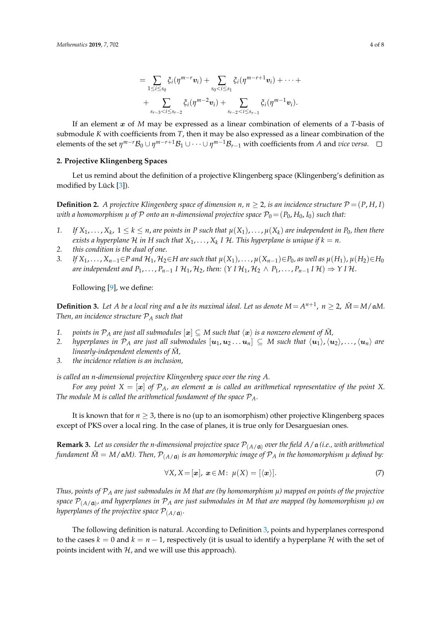$$
= \sum_{1 \leq i \leq s_0} \xi_i(\eta^{m-r} \mathbf{v}_i) + \sum_{s_0 < i \leq s_1} \xi_i(\eta^{m-r+1} \mathbf{v}_i) + \cdots + \sum_{s_{r-3} < i \leq s_{r-2}} \xi_i(\eta^{m-2} \mathbf{v}_i) + \sum_{s_{r-2} < i \leq s_{r-1}} \xi_i(\eta^{m-1} \mathbf{v}_i).
$$

If an element x of *M* may be expressed as a linear combination of elements of a *T*-basis of submodule *K* with coefficients from *T*, then it may be also expressed as a linear combination of the elements of the set  $\eta^{m-r}B_0\cup\eta^{m-r+1}B_1\cup\cdots\cup\eta^{m-1}B_{r-1}$  with coefficients from *A* and *vice versa*.

#### **2. Projective Klingenberg Spaces**

Let us remind about the definition of a projective Klingenberg space (Klingenberg's definition as modified by Lück [\[3\]](#page-7-2)).

**Definition 2.** *A projective Klingenberg space of dimension*  $n, n \geq 2$ *, is an incidence structure*  $\mathcal{P} = (P, H, I)$ *with a homomorphism*  $\mu$  *of*  $\mathcal P$  *onto an n-dimensional projective space*  $\mathcal P_0 = (P_0, H_0, I_0)$  *such that:* 

- 1. If  $X_1,\ldots,X_k$ ,  $1\leq k\leq n$ , are points in P such that  $\mu(X_1),\ldots,\mu(X_k)$  are independent in  $P_0$ , then there exists a hyperplane  ${\mathcal H}$  in  $H$  such that  $X_1,\ldots,X_k$  I  ${\mathcal H}.$  This hyperplane is unique if  $k=n.$
- *2. this condition is the dual of one.*
- 3. If  $X_1,\ldots,X_{n-1}\in P$  and  $\mathcal{H}_1,\mathcal{H}_2\in H$  are such that  $\mu(X_1),\ldots,\mu(X_{n-1})\in P_0$ , as well as  $\mu(H_1),\mu(H_2)\in H_0$ *are independent and*  $P_1, \ldots, P_{n-1}$  *I*  $H_1, H_2$ , then:  $(Y I H_1, H_2 \wedge P_1, \ldots, P_{n-1} I H) \Rightarrow Y I H$ .

Following [\[9\]](#page-7-7), we define:

<span id="page-3-0"></span>**Definition 3.** Let A be a local ring and  $\alpha$  be its maximal ideal. Let us denote  $M = A^{n+1}$ ,  $n \ge 2$ ,  $\overline{M} = M/\mathfrak{a}M$ . *Then, an incidence structure* P*<sup>A</sup> such that*

- *1. points in*  $P_A$  *are just all submodules*  $[\mathbf{x}] \subseteq M$  *such that*  $\langle \mathbf{x} \rangle$  *is a nonzero element of*  $\overline{M}$ ,
- 2. *hyperplanes in*  $\mathcal{P}_A$  *are just all submodules*  $[\mathbf{u}_1, \mathbf{u}_2 \ldots \mathbf{u}_n] \subseteq M$  *such that*  $\langle \mathbf{u}_1 \rangle$ ,  $\langle \mathbf{u}_2 \rangle$ , ...,  $\langle \mathbf{u}_n \rangle$  *are linearly-independent elements of*  $\bar{M}$ ,
- *3. the incidence relation is an inclusion,*

*is called an n-dimensional projective Klingenberg space over the ring A.*

*For any point*  $X = [\boldsymbol{x}]$  *of*  $\mathcal{P}_A$ *, an element*  $\boldsymbol{x}$  *is called an arithmetical representative of the point* X. *The module M is called the arithmetical fundament of the space*  $P_A$ *.* 

It is known that for  $n \geq 3$ , there is no (up to an isomorphism) other projective Klingenberg spaces except of PKS over a local ring. In the case of planes, it is true only for Desarguesian ones.

**Remark 3.** Let us consider the n-dimensional projective space  $\mathcal{P}_{(A/\mathfrak{a})}$  over the field A/ $\mathfrak{a}$  (i.e., with arithmetical fundament  $\bar{M} = M/\mathfrak{a}M$ ). Then,  $\mathcal{P}_{(A/\mathfrak{a})}$  is an homomorphic image of  $\mathcal{P}_A$  in the homomorphism  $\mu$  defined by:

$$
\forall X, X = [\boldsymbol{x}], \ \boldsymbol{x} \in M: \ \mu(X) = [\langle \boldsymbol{x} \rangle]. \tag{7}
$$

*Thus, points of* P*<sup>A</sup> are just submodules in M that are (by homomorphism µ) mapped on points of the projective space* P(*A*/a) *, and hyperplanes in* P*<sup>A</sup> are just submodules in M that are mapped (by homomorphism µ) on* hyperplanes of the projective space  $\mathcal{P}_{(A/\mathfrak{a})}.$ 

The following definition is natural. According to Definition [3,](#page-3-0) points and hyperplanes correspond to the cases  $k = 0$  and  $k = n - 1$ , respectively (it is usual to identify a hyperplane H with the set of points incident with  $H$ , and we will use this approach).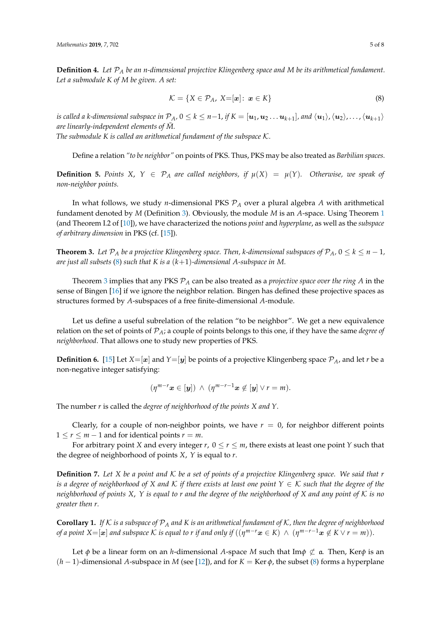**Definition 4.** *Let* P*<sup>A</sup> be an n-dimensional projective Klingenberg space and M be its arithmetical fundament. Let a submodule K of M be given. A set:*

<span id="page-4-0"></span>
$$
\mathcal{K} = \{ X \in \mathcal{P}_A, X = [\mathbf{x}] : \mathbf{x} \in K \}
$$
\n
$$
(8)
$$

is called a k-dimensional subspace in  $\mathcal{P}_A$ ,  $0\le k\le n-1$ , if  $K=[\bm u_1,\bm u_2\ldots\bm u_{k+1}]$ , and  $\langle\bm u_1\rangle$ ,  $\langle\bm u_2\rangle$ , . . . ,  $\langle\bm u_{k+1}\rangle$ are linearly-independent elements of  $\overline{M}$ .

*The submodule K is called an arithmetical fundament of the subspace* K*.*

Define a relation *"to be neighbor"* on points of PKS. Thus, PKS may be also treated as *Barbilian spaces.*

**Definition 5.** Points *X*,  $Y \in \mathcal{P}_A$  are called neighbors, if  $\mu(X) = \mu(Y)$ . Otherwise, we speak of *non-neighbor points.*

In what follows, we study *n*-dimensional PKS P*<sup>A</sup>* over a plural algebra *A* with arithmetical fundament denoted by *M* (Definition [3\)](#page-3-0). Obviously, the module *M* is an *A*-space. Using Theorem [1](#page-1-0) (and Theorem I.2 of [\[10\]](#page-7-8)), we have characterized the notions *point* and *hyperplane*, as well as the *subspace of arbitrary dimension* in PKS (cf. [\[15\]](#page-7-13)).

<span id="page-4-1"></span>**Theorem 3.** Let  $\mathcal{P}_A$  be a projective Klingenberg space. Then, *k*-dimensional subspaces of  $\mathcal{P}_A$ ,  $0 \le k \le n-1$ , *are just all subsets* [\(8\)](#page-4-0) *such that K is a* (*k*+1)*-dimensional A-subspace in M.*

Theorem [3](#page-4-1) implies that any PKS P*<sup>A</sup>* can be also treated as a *projective space over the ring A* in the sense of Bingen [\[16\]](#page-7-14) if we ignore the neighbor relation. Bingen has defined these projective spaces as structures formed by *A*-subspaces of a free finite-dimensional *A*-module.

Let us define a useful subrelation of the relation "to be neighbor". We get a new equivalence relation on the set of points of P*A*; a couple of points belongs to this one, if they have the same *degree of neighborhood*. That allows one to study new properties of PKS.

**Definition 6.** [\[15\]](#page-7-13) Let  $X=[x]$  and  $Y=[y]$  be points of a projective Klingenberg space  $\mathcal{P}_A$ , and let *r* be a non-negative integer satisfying:

$$
(\eta^{m-r} \mathbf{x} \in [\mathbf{y}]) \ \wedge \ (\eta^{m-r-1} \mathbf{x} \notin [\mathbf{y}] \vee r = m).
$$

The number *r* is called the *degree of neighborhood of the points X and Y*.

Clearly, for a couple of non-neighbor points, we have  $r = 0$ , for neighbor different points  $1 \le r \le m - 1$  and for identical points  $r = m$ .

For arbitrary point *X* and every integer  $r$ ,  $0 \le r \le m$ , there exists at least one point *Y* such that the degree of neighborhood of points *X*, *Y* is equal to *r*.

**Definition 7.** *Let X be a point and* K *be a set of points of a projective Klingenberg space. We said that r is a degree of neighborhood of X and*  $K$  *if there exists at least one point*  $Y \in K$  *such that the degree of the neighborhood of points X*, *Y is equal to r and the degree of the neighborhood of X and any point of* K *is no greater then r.*

**Corollary 1.** If K is a subspace of  $\mathcal{P}_A$  and K is an arithmetical fundament of K, then the degree of neighborhood *of a point X*=[ $\bm{x}$ ] *and subspace*  $\cal{K}$  *is equal to r if and only if*  $((\eta^{m-r}\bm{x}\in K) ~\wedge~ (\eta^{m-r-1}\bm{x}\not\in K \vee r=m)).$ 

Let  $\phi$  be a linear form on an *h*-dimensional *A*-space *M* such that Im $\phi \not\subset \mathfrak{a}$ . Then, Ker $\phi$  is an (*h* − 1)-dimensional *A*-subspace in *M* (see [\[12\]](#page-7-10)), and for *K* = Ker *φ*, the subset [\(8\)](#page-4-0) forms a hyperplane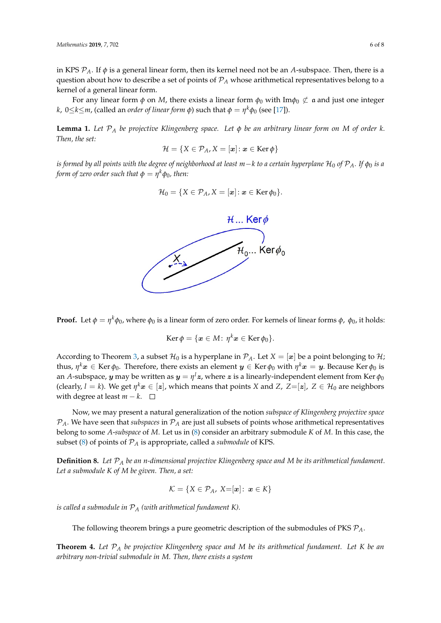in KPS  $P_A$ . If  $\phi$  is a general linear form, then its kernel need not be an *A*-subspace. Then, there is a question about how to describe a set of points of P*<sup>A</sup>* whose arithmetical representatives belong to a kernel of a general linear form.

For any linear form  $\phi$  on *M*, there exists a linear form  $\phi_0$  with Im $\phi_0 \not\subset \mathfrak{a}$  and just one integer *k*, 0≤*k*≤*m*, (called an *order of linear form φ*) such that *φ* = *η <sup>k</sup>φ*<sup>0</sup> (see [\[17\]](#page-7-15)).

<span id="page-5-0"></span>**Lemma 1.** *Let* P*<sup>A</sup> be projective Klingenberg space. Let φ be an arbitrary linear form on M of order k. Then, the set:*

$$
\mathcal{H} = \{X \in \mathcal{P}_A, X = [\boldsymbol{x}] \colon \boldsymbol{x} \in \operatorname{Ker} \phi\}
$$

*is formed by all points with the degree of neighborhood at least*  $m−k$  *to a certain hyperplane*  $H_0$  *of*  $P_A$ *. If*  $\phi_0$  *is a form of zero order such that*  $\phi = \eta^k \phi_0$ *, then:* 

$$
\mathcal{H}_0 = \{ X \in \mathcal{P}_A, X = [\boldsymbol{x}] : \boldsymbol{x} \in \text{Ker}\,\phi_0 \}.
$$



**Proof.** Let  $φ = η^kφ_0$ , where  $φ_0$  is a linear form of zero order. For kernels of linear forms  $φ$ ,  $φ_0$ , it holds:

$$
\operatorname{Ker} \phi = \{ \boldsymbol{x} \in M \colon \eta^k \boldsymbol{x} \in \operatorname{Ker} \phi_0 \}.
$$

According to Theorem [3,](#page-4-1) a subset  $\mathcal{H}_0$  is a hyperplane in  $\mathcal{P}_A$ . Let  $X = [\boldsymbol{x}]$  be a point belonging to  $\mathcal{H}$ ; thus,  $\eta^k x \in$  Ker  $\phi_0$ . Therefore, there exists an element  $\bm{y} \in$  Ker  $\phi_0$  with  $\eta^k x = \bm{y}$ . Because Ker  $\phi_0$  is an *A*-subspace,  $\bm{y}$  may be written as  $\bm{y}=\eta^l\bm{z}$ , where  $\bm{z}$  is a linearly-independent element from Ker  $\phi_0$ (clearly,  $l = k$ ). We get  $\eta^k \bm{x} \in [\bm{z}]$ , which means that points  $X$  and  $Z$ ,  $Z{=}[\bm{z}]$ ,  $Z \in \mathcal{H}_0$  are neighbors with degree at least  $m - k$ . □

Now, we may present a natural generalization of the notion *subspace of Klingenberg projective space*  $P_A$ . We have seen that *subspaces* in  $P_A$  are just all subsets of points whose arithmetical representatives belong to some *A*-*subspace* of *M*. Let us in [\(8\)](#page-4-0) consider an arbitrary submodule *K* of *M*. In this case, the subset [\(8\)](#page-4-0) of points of P*<sup>A</sup>* is appropriate, called a *submodule* of KPS.

**Definition 8.** *Let* P*<sup>A</sup> be an n-dimensional projective Klingenberg space and M be its arithmetical fundament. Let a submodule K of M be given. Then, a set:*

$$
\mathcal{K} = \{ X \in \mathcal{P}_A, \ X = [\mathbf{x}] : \ \mathbf{x} \in K \}
$$

*is called a submodule in* P*<sup>A</sup> (with arithmetical fundament K).*

The following theorem brings a pure geometric description of the submodules of PKS P*A*.

**Theorem 4.** *Let* P*<sup>A</sup> be projective Klingenberg space and M be its arithmetical fundament. Let K be an arbitrary non-trivial submodule in M. Then, there exists a system*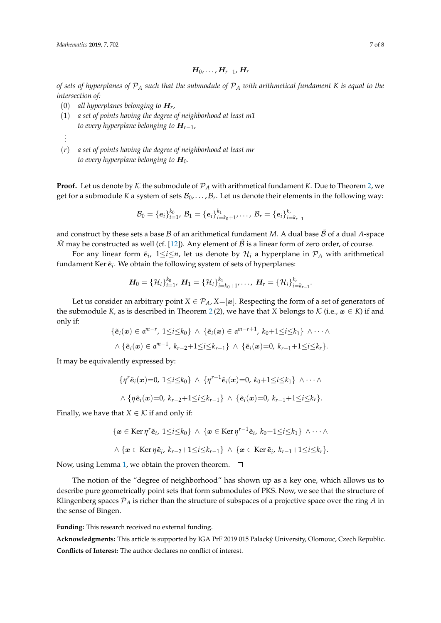$$
\boldsymbol{H}_0,\ldots,\boldsymbol{H}_{r-1},\boldsymbol{H}_r
$$

*of sets of hyperplanes of* P*<sup>A</sup> such that the submodule of* P*<sup>A</sup> with arithmetical fundament K is equal to the intersection of:*

- (0) *all hyperplanes belonging to* H*<sup>r</sup>* ,
- (1) *a set of points having the degree of neighborhood at least m-1 to every hyperplane belonging to* H*r*−1,
- *. . .*
- (*r*) *a set of points having the degree of neighborhood at least mr to every hyperplane belonging to*  $H_0$ .

**Proof.** Let us denote by  $K$  the submodule of  $P_A$  with arithmetical fundament *K*. Due to Theorem [2,](#page-1-4) we get for a submodule *K* a system of sets  $\mathcal{B}_0, \ldots, \mathcal{B}_r$ . Let us denote their elements in the following way:

$$
\mathcal{B}_0 = \{e_i\}_{i=1}^{k_0}, \, \mathcal{B}_1 = \{e_i\}_{i=k_0+1}^{k_1}, \ldots, \, \mathcal{B}_r = \{e_i\}_{i=k_{r-1}}^{k_r}
$$

and construct by these sets a base  $\beta$  of an arithmetical fundament *M*. A dual base  $\beta$  of a dual *A*-space  $\tilde{M}$  may be constructed as well (cf. [\[12\]](#page-7-10)). Any element of  $\tilde{B}$  is a linear form of zero order, of course.

For any linear form  $\tilde{e}_i$ ,  $1 \leq i \leq n$ , let us denote by  $\mathcal{H}_i$  a hyperplane in  $\mathcal{P}_A$  with arithmetical fundament Ker  $\tilde{\boldsymbol{e}}_i$ . We obtain the following system of sets of hyperplanes:

$$
\boldsymbol{H}_0 = \{ \mathcal{H}_i \}_{i=1}^{k_0}, \ \boldsymbol{H}_1 = \{ \mathcal{H}_i \}_{i=k_0+1}^{k_1}, \ldots, \ \boldsymbol{H}_r = \{ \mathcal{H}_i \}_{i=k_{r-1}}^{k_r}.
$$

Let us consider an arbitrary point  $X \in \mathcal{P}_A$ ,  $X = [\mathbf{x}]$ . Respecting the form of a set of generators of the submodule *K*, as is described in Theorem [2](#page-1-4)(2), we have that *X* belongs to *K* (i.e.,  $x \in K$ ) if and only if:

$$
\{\tilde{\mathbf{e}}_i(\boldsymbol{x})\in \mathfrak{a}^{m-r}, 1\leq i\leq k_0\} \wedge \{\tilde{\mathbf{e}}_i(\boldsymbol{x})\in \mathfrak{a}^{m-r+1}, k_0+1\leq i\leq k_1\} \wedge \cdots \wedge \wedge \{\tilde{\mathbf{e}}_i(\boldsymbol{x})\in \mathfrak{a}^{m-1}, k_{r-2}+1\leq i\leq k_{r-1}\} \wedge \{\tilde{\mathbf{e}}_i(\boldsymbol{x})=0, k_{r-1}+1\leq i\leq k_r\}.
$$

It may be equivalently expressed by:

$$
\{\eta^r \tilde{\mathbf{e}}_i(\mathbf{x})=0, 1\leq i\leq k_0\} \wedge \{\eta^{r-1} \tilde{\mathbf{e}}_i(\mathbf{x})=0, k_0+1\leq i\leq k_1\} \wedge \cdots \wedge \wedge \{\eta \tilde{\mathbf{e}}_i(\mathbf{x})=0, k_{r-2}+1\leq i\leq k_{r-1}\} \wedge \{\tilde{\mathbf{e}}_i(\mathbf{x})=0, k_{r-1}+1\leq i\leq k_r\}.
$$

Finally, we have that *X*  $\in$  *K* if and only if:

$$
\{x \in \text{Ker}\,\eta^r \tilde{\mathbf{e}}_i, 1 \leq i \leq k_0\} \land \{x \in \text{Ker}\,\eta^{r-1} \tilde{\mathbf{e}}_i, k_0+1 \leq i \leq k_1\} \land \cdots \land
$$

$$
\wedge \{ \boldsymbol{x} \in \operatorname{Ker} \eta \tilde{\boldsymbol{e}}_i, k_{r-2}+1 \leq i \leq k_{r-1} \} \wedge \{ \boldsymbol{x} \in \operatorname{Ker} \tilde{\boldsymbol{e}}_i, k_{r-1}+1 \leq i \leq k_r \}.
$$

Now, using Lemma [1,](#page-5-0) we obtain the proven theorem.  $\Box$ 

The notion of the "degree of neighborhood" has shown up as a key one, which allows us to describe pure geometrically point sets that form submodules of PKS. Now, we see that the structure of Klingenberg spaces P*<sup>A</sup>* is richer than the structure of subspaces of a projective space over the ring *A* in the sense of Bingen.

**Funding:** This research received no external funding.

**Acknowledgments:** This article is supported by IGA PrF 2019 015 Palacký University, Olomouc, Czech Republic. **Conflicts of Interest:** The author declares no conflict of interest.